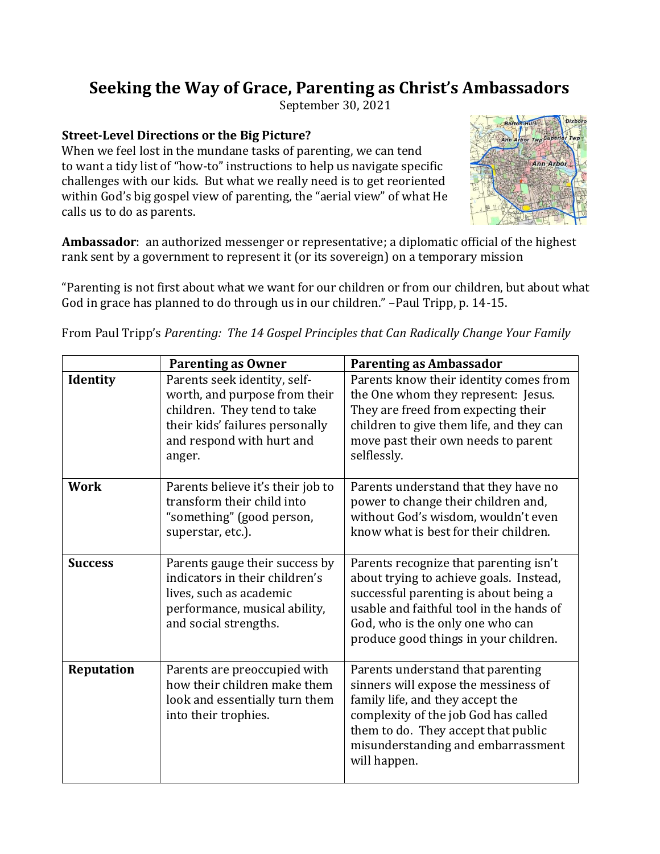## **Seeking the Way of Grace, Parenting as Christ's Ambassadors**

September 30, 2021

## **Street-Level Directions or the Big Picture?**

When we feel lost in the mundane tasks of parenting, we can tend to want a tidy list of "how-to" instructions to help us navigate specific challenges with our kids. But what we really need is to get reoriented within God's big gospel view of parenting, the "aerial view" of what He calls us to do as parents.



**Ambassador**: an authorized messenger or representative; a diplomatic official of the highest rank sent by a government to represent it (or its sovereign) on a temporary mission

"Parenting is not first about what we want for our children or from our children, but about what God in grace has planned to do through us in our children." –Paul Tripp, p. 14-15.

|                   | <b>Parenting as Owner</b>                                                                                                                                              | <b>Parenting as Ambassador</b>                                                                                                                                                                                                                      |
|-------------------|------------------------------------------------------------------------------------------------------------------------------------------------------------------------|-----------------------------------------------------------------------------------------------------------------------------------------------------------------------------------------------------------------------------------------------------|
| <b>Identity</b>   | Parents seek identity, self-<br>worth, and purpose from their<br>children. They tend to take<br>their kids' failures personally<br>and respond with hurt and<br>anger. | Parents know their identity comes from<br>the One whom they represent: Jesus.<br>They are freed from expecting their<br>children to give them life, and they can<br>move past their own needs to parent<br>selflessly.                              |
| <b>Work</b>       | Parents believe it's their job to<br>transform their child into<br>"something" (good person,<br>superstar, etc.).                                                      | Parents understand that they have no<br>power to change their children and,<br>without God's wisdom, wouldn't even<br>know what is best for their children.                                                                                         |
| <b>Success</b>    | Parents gauge their success by<br>indicators in their children's<br>lives, such as academic<br>performance, musical ability,<br>and social strengths.                  | Parents recognize that parenting isn't<br>about trying to achieve goals. Instead,<br>successful parenting is about being a<br>usable and faithful tool in the hands of<br>God, who is the only one who can<br>produce good things in your children. |
| <b>Reputation</b> | Parents are preoccupied with<br>how their children make them<br>look and essentially turn them<br>into their trophies.                                                 | Parents understand that parenting<br>sinners will expose the messiness of<br>family life, and they accept the<br>complexity of the job God has called<br>them to do. They accept that public<br>misunderstanding and embarrassment<br>will happen.  |

From Paul Tripp's *Parenting: The 14 Gospel Principles that Can Radically Change Your Family*